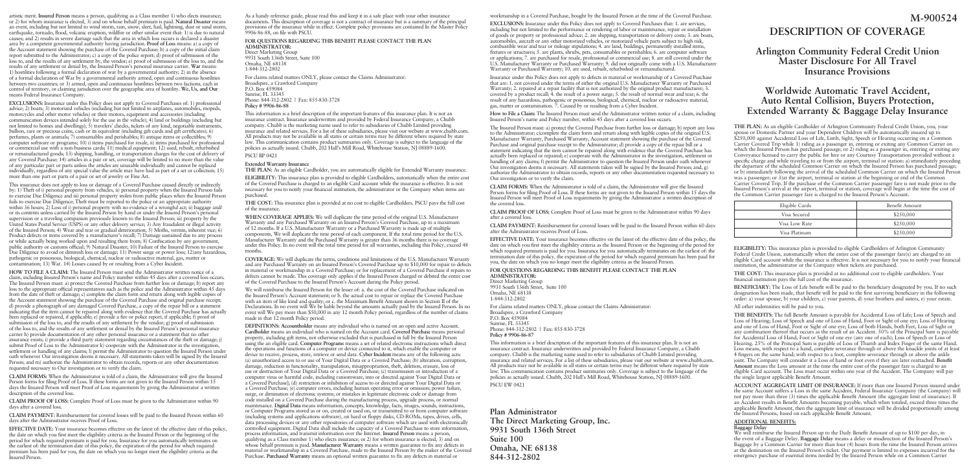artistic merit. **Insured Person** means a person, qualifying as a Class member 1) who elects insurance; or 2) for whom insurance is elected, 3) and on whose behalf premium is paid. **Natural Disaster** means an event, including but not limited to wind storm, rain, snow, sleet, hail, lightning, dust or sand storm, earthquake, tornado, flood, volcanic eruption, wildfire or other similar event that: 1) is due to natural causes; and 2) results in severe damage such that the area in which loss occurs is declared a disaster area by a competent governmental authority having jurisdiction. **Proof of Loss** means: a) a copy of the Account statement showing the purchase of the Covered Purchase; b) a copy of the initial claim report submitted to the Administrator; c) a copy of the police report; d) proof of submission of the loss to, and the results of any settlement by, the vendor; e) proof of submission of the loss to, and the results of any settlement or denial by, the Insured Person's personal insurance carrier. **War** means: 1) hostilities following a formal declaration of war by a governmental authority; 2) in the absence of a formal declaration of War by a governmental authority armed, open and continuous hostilities between two countries; or 3) armed, open and continuous hostilities between two factions, each in control of territory, or claiming jurisdiction over the geographic area of hostility. **We, Us, and Our** means Federal Insurance Company.

**EXCLUSIONS:** Insurance under this Policy does not apply to Covered Purchases of: 1) professional advice; 2) boats; 3) motorized vehicles (including but not limited to airplanes, automobiles, mopeds, motorcycles and other motor vehicles) or their motors, equipment and accessories (including communication devices intended solely for the use in the vehicle); 4) land or buildings (including but not limited to homes and dwellings); 5) travelers' checks, tickets of any kind, negotiable instruments, bullion, rare or precious coins, cash or its equivalent (including gift cards and gift certificates); 6) perfumes, plants or animals; 7) consumables and perishables; 8) antique items or collectibles; 9) computer software or programs; 10) i) items purchased for resale, ii) items purchased for professional or commercial use with a non-business cards; 11) medical equipment; 12) used, rebuilt, refurbished or remanufactured goods; 13) shipping, handling, or transportation charges for the cost of delivery of any Covered Purchase; 14) articles in a pair or set, coverage will be limited to no more than the value of any particular part or parts unless the articles are unusable individually and cannot be replaced individually, regardless of any special value the article may have had as part of a set or collection; 15) more than one part or parts of a pair or set of jewelry or Fine Art.

This insurance does not apply to loss or damage of a Covered Purchase caused directly or indirectly by: 1) Theft of i) personal property from vehicles, ii) personal property when the Insured Person fails to exercise Due Diligence and iii) personal property stolen from public places when the Insured Person fails to exercise Due Diligence; Theft must be reported to the police or an appropriate authority within 36 hours; 2) Loss of i) personal property with no evidence of a wrongful act; ii) baggage and/ or its contents unless carried by the Insured Person by hand or under the Insured Person's personal supervision or a traveling companion previously known to the Insured Person; iii) property by the United States Postal Service (USPS) or any other delivery service; 3) Any fraudulent or illegal activity of the Insured Person; 4) Wear and tear or gradual deterioration; 5) Moths, vermin, inherent vice; 6) Product defects or items covered by a manufacturer's recall; 7) Damage sustained due to any process or while actually being worked upon and resulting there from; 8) Confiscation by any government, public authority or customs official; 9) Natural Disaster; 10) Failure of the Insured Person to exercise Due Diligence to avoid or diminish loss or damage; 11) Power surge or power loss; 12)any hazardous, pathogenic or poisonous, biological, chemical, nuclear or radioactive material, gas, matter or contamination; 13) War. 14) Losses caused by or resulting from a Cyber Incident.

**HOW TO FILE A CLAIM:** The Insured Person must send the Administrator written notice of a claim, including Insured Person's name and Policy number within 45 days after a covered loss occurs. The Insured Person must: a) protect the Covered Purchase from further loss or damage; b) report any loss to the appropriate official representatives such as the police and the Administrator within 45 days from the date of theft or damage; c) complete the claim form and return along with legible copies of the Account statement showing the purchase of the Covered Purchase and original purchase receipt; d) provide a photograph of any damaged Covered Purchase, a copy of the repair bill or a statement indicating that the item cannot be repaired along with evidence that the Covered Purchase has actually been replaced or repaired, if applicable; e) provide a fire or police report, if applicable; f) proof of submission of the loss to, and the results of any settlement by the vendor; g) proof of submission of the loss to, and the results of any settlement or denial by the Insured Person's personal insurance carrier h) provide documentation of any other personal insurance or a statement that no other insurance exists; i) provide a third party statement regarding circumstances of the theft or damage; j) submit Proof of Loss to the Administrator k) cooperate with the Administrator in the investigation, settlement or handling of any claims; l) permit the Administrator to question the Insured Person under oath whenever Our investigation deems it necessary. All statements taken will be signed by the Insured Person; and m) authorize the Administrator to obtain records, reports or any other documentation requested necessary to Our investigation or to verify the claim.

**CLAIM FORMS:** When the Administrator is told of a claim, the Administrator will give the Insured Person forms for filing Proof of Loss. If these forms are not given to the Insured Person within 15 days the Insured Person will meet Proof of Loss requirements by giving the Administrator a written description of the covered loss.

**CLAIM PROOF OF LOSS:** Complete Proof of Loss must be given to the Administrator within 90 days after a covered loss.

**CLAIM PAYMENT:** Reimbursement for covered losses will be paid to the Insured Person within 60 days after the Administrator receives Proof of Loss.

**EFFECTIVE DATE:** Your insurance becomes effective on the latest of: the effective date of this policy, the date on which you first meet the eligibility criteria as the Insured Person or the beginning of the period for which required premium is paid for you. Insurance for you automatically terminates on the earliest of: the termination date of this policy, the expiration of the period for which required premium has been paid for you, the date on which you no longer meet the eligibility criteria as the Insured Person.

As a handy reference guide, please read this and keep it in a safe place with your other insurance documents. This description of coverage is not a contract of insurance but is a summary of the principal provisions of the insurance while in effect. Complete policy provisions are contained In the Master Policy 9906-86-88, on file with PSCU.

**FOR QUESTIONS REGARDING THIS BENEFIT PLEASE CONTACT THE PLAN ADMINISTRATOR:** Direct Marketing Group 9931 South 136th Street, Suite 100 Omaha, NE 68138 1-844-312-2802 For claims related matters ONLY, please contact the Claims Administrator:

Broadspire, a Crawford Company P.O. Box 459084 Sunrise, FL 33345 Phone: 844-312-2802 | Fax: 855-830-3728 **Policy # 9906-86-88**

This information is a brief description of the important features of this insurance plan. It is not an insurance contract. Insurance underwritten and provided by Federal Insurance Company, a Chubb company. Chubb is the marketing name used to refer to subsidiaries of Chubb Limited providing insurance and related services. For a list of these subsidiaries, please visit our website at www.chubb.com. All products may not be available in all states or certain terms may be different where required by state law. This communication contains product summaries only. Coverage is subject to the language of the policies as actually issued. Chubb, 202 Hall's Mill Road, Whitehouse Station, NJ 08889-1600.

PSCU BP 0421

#### **Extended Warranty Insurance**

**THE PLAN:** As an eligible Cardholder, you are automatically eligible for Extended Warranty insurance.

**ELIGIBILITY:** This insurance plan is provided to eligible Cardholders, automatically when the entire cost of the Covered Purchase is charged to an eligible Card account while the insurance is effective. It is not necessary for you to notify your financial institution, the administrator or the Company when items are purchased.

**THE COST:** This insurance plan is provided at no cost to eligible Cardholders. PSCU pays the full cost of the insurance.

**WHEN COVERAGE APPLIES:** We will duplicate the time period of the original U.S. Manufacturer Warranty and any Purchased Warranty on an Insured Person's Covered Purchase, up to a maximum of 12 months. If a U.S. Manufacturer Warranty or a Purchased Warranty is made up of multiple components, We will duplicate the time period of each component. If the total time period for the U.S. Manufacturer Warranty and the Purchased Warranty is greater than 36 months there is no coverage under this Policy. In no event will the total time period for all warranties, including this Policy, exceed 48 months.

**COVERAGE:** We will duplicate the terms, conditions and limitations of the U.S. Manufacturer Warranty and any Purchased Warranty on an Insured Person's Covered Purchase up to \$10,000 for repair to defects in material or workmanship in a Covered Purchase; or for replacement of a Covered Purchase if repairs to defects cannot be made. This coverage only applies if the Insured Person charged or debited the entire cost of the Covered Purchase to the Insured Person's Account during the Policy period.

We will reimburse the Insured Person for the lesser of: a. the cost of the Covered Purchase indicated on the Insured Person's Account statement; or b. the actual cost to repair or replace the Covered Purchase with an item of like kind and quality; or c. the Maximum Benefit Amount shown in Section II of the Declarations. In no event will We be liable beyond the amounts actually paid by the Insured Person. In no event will We pay more than \$50,000 in any 12 month Policy period, regardless of the number of claims made in that 12 month Policy period.

**DEFINITIONS: Accountholder** means any individual who is named on an open and active Account. **Cardholder** means an individual who is named on the Account card. **Covered Purchase** means personal property, including gift items, not otherwise excluded that is purchased in full by the Insured Person using the an eligible card. **Computer Programs** means a set of related electronic instructions which direct the operations and functions of a computer or device connected to it, which enable the computer or device to receive, process, store, retrieve or send data. **Cyber Incident** means any of the following acts: (a) unauthorized access to or use of Your Digital Data or a Covered Purchase; (b) alteration, corruption, damage, reduction in functionality, manipulation, misappropriation, theft, deletion, erasure, loss of use or destruction of Your Digital Data or a Covered Purchase; (c) transmission or introduction of a computer virus or harmful code, including ransomware, into or directed against Your Digital Data or a Covered Purchase]; (d) restriction or inhibition of access to or directed against Your Digital Data or a Covered Purchase; (e) computer errors, including human operating error or omission; power failure, surge, or diminution of electronic systems; or mistakes in legitimate electronic code or damage from code installed on a Covered Purchase during the manufacturing process, upgrade process, or normal maintenance. **Digital Data** means information, concepts, knowledge, facts, images, sounds, instructions, or Computer Programs stored as or on, created or used on, or transmitted to or from computer software (including systems and applications software), on hard or floppy disks, CD-ROMs, tapes, drives, cells, data processing devices or any other repositories of computer software which are used with electronically controlled equipment. Digital Data shall include the capacity of a Covered Purchase to store information, process information, and transmit information over the Internet. **Insured Person** means a person, qualifying as a Class member 1) who elects insurance; or 2) for whom insurance is elected, 3) and on whose behalf premium is paid. **Manufacturer Warranty** means a written guarantee to fix any defects in material or workmanship in a Covered Purchase, made to the Insured Person by the maker of the Covered Purchase. **Purchased Warranty** means an optional written guarantee to fix any defects in material or

workmanship in a Covered Purchase, bought by the Insured Person at the time of the Covered Purchase.

**EXCLUSIONS:** Insurance under this Policy does not apply to Covered Purchases that: 1. are services, including but not limited to the performance or rendering of labor or maintenance, repair or installation of goods or property or professional advice; 2. are shipping, transportation or delivery costs; 3. are boats, automobiles, aircraft or any other motorized vehicles, or motorized vehicle parts subject to high risk, combustible wear and tear or mileage stipulations; 4. are land, buildings, permanently installed items, fixtures or structures; 5. are plants, shrubs, pets, consumables or perishables; 6. are computer software or applications; 7. are purchased for resale, professional or commercial use; 8. are still covered under the U.S. Manufacturer Warranty or Purchased Warranty; 9. did not originally come with a U.S. Manufacturer Warranty or Purchased Warranty; 10. are used, rebuilt, refurbished or remanufactured.

Insurance under this Policy does not apply to defects in material or workmanship of a Covered Purchase that are: 1. not covered under the terms of either the original U.S. Manufacturer Warranty or Purchased Warranty; 2. repaired at a repair facility that is not authorized by the original product manufacturer; 3. covered by a product recall; 4. the result of a power surge; 5. the result of normal wear and tear; 6. the result of any hazardous, pathogenic or poisonous, biological, chemical, nuclear or radioactive material, gas, matter or contamination. 7. Caused by or resulting from a Cyber Incident.

**How to File a Claim:** The Insured Person must send the Administrator written notice of a claim, including Insured Person's name and Policy number, within 45 days after a covered loss occurs.

The Insured Person must: a) protect the Covered Purchase from further loss or damage; b) report any loss to the Administrator; c)complete the claim form and return along with legible copies of the original U.S. Manufacturer Warranty, Purchased Warranty, Account statement showing the purchase of the Covered Purchase and original purchase receipt to the Administrator; d) provide a copy of the repair bill or a statement indicating that the item cannot be repaired along with evidence that the Covered Purchase has actually been replaced or repaired; e) cooperate with the Administrator in the investigation, settlement or handling of any claims; f) permit the Administrator to question the Insured Person under oath whenever Our investigation deems it necessary. All statements taken will be signed by the Insured Person; and, g) authorize the Administrator to obtain records, reports or any other documentation requested necessary to Our investigation or to verify the claim.

**CLAIM FORMS:** When the Administrator is told of a claim, the Administrator will give the Insured Person forms for filing Proof of Loss. If these forms are not given to the Insured Person within 15 days the Insured Person will meet Proof of Loss requirements by giving the Administrator a written description of the covered loss.

**CLAIM PROOF OF LOSS:** Complete Proof of Loss must be given to the Administrator within 90 days after a covered loss.

**CLAIM PAYMENT:** Reimbursement for covered losses will be paid to the Insured Person within 60 days after the Administrator receives Proof of Loss.

**EFFECTIVE DATE:** Your insurance becomes effective on the latest of: the effective date of this policy, the date on which you first meet the eligibility criteria as the Insured Person or the beginning of the period for which required premium is paid for you. Insurance for you automatically terminates on the earliest of: the termination date of this policy, the expiration of the period for which required premium has been paid for you, the date on which you no longer meet the eligibility criteria as the Insured Person.

**FOR QUESTIONS REGARDING THIS BENEFIT PLEASE CONTACT THE PLAN ADMINISTRATOR:**

Direct Marketing Group 9931 South 136th Street, Suite 100 Omaha, NE 68138 1-844-312-2802

For claims related matters ONLY, please contact the Claims Administrator: Broadspire, a Crawford Company P.O. Box 459084 Sunrise, FL 33345 Phone: 844-312-2802 | Fax: 855-830-3728 **Policy # 9906-86-87**

This information is a brief description of the important features of this insurance plan. It is not an insurance contract. Insurance underwritten and provided by Federal Insurance Company, a Chubb company. Chubb is the marketing name used to refer to subsidiaries of Chubb Limited providing insurance and related services. For a list of these subsidiaries, please visit our website at www.chubb.com. All products may not be available in all states or certain terms may be different where required by state law. This communication contains product summaries only. Coverage is subject to the language of the policies as actually issued. Chubb, 202 Hall's Mill Road, Whitehouse Station, NJ 08889-1600. PSCU EW 0421

**Plan Administrator The Direct Marketing Group, Inc. 9931 South 136th Street Suite 100 Omaha, NE 68138 844-312-2802**

# **DESCRIPTION OF COVERAGE**

**M-900524**

# **Arlington Community Federal Credit Union Master Disclosure For All Travel Insurance Provisions**

# **Worldwide Automatic Travel Accident, Auto Rental Collision, Buyers Protection, Extended Warranty & Baggage Delay Insurance**

**THE PLAN:** As an eligible Cardholder of Arlington Community Federal Credit Union, you, your spouse or Domestic Partner and your Dependent Children will be automatically insured up to \$250,000 against Accidental Loss of Life, Limb, Sight, Speech or Hearing occurring on a Common Carrier Covered Trip while 1) riding as a passenger in, entering or exiting any Common Carrier on which the Insured Person has purchased passage; or 2) riding as a passenger in, entering or exiting any Conveyance licensed to carry the public for hire or any Courtesy Transportation provided without a specific charge and while traveling to or from the airport, terminal or station: a) immediately preceding the departure of the scheduled Common Carrier on which the Insured Person has purchased passage; or b) immediately following the arrival of the scheduled Common Carrier on which the Insured Person was a passenger; or 3)at the airport, terminal or station at the beginning or end of the Common Carrier Covered Trip. If the purchase of the Common Carrier passenger fare is not made prior to the Insured Person's arrival at the airport, terminal or station, coverage will begin at the time the cost of the Common Carrier passenger fare is charged to the Insured Person's Account.

| Eligible Cards | Benefit Amount |
|----------------|----------------|
| Visa Secured   | \$250,000      |
| Visa Low Rate  | \$250,000      |
| Visa Platinum  | \$250,000      |

**ELIGIBILITY:** This insurance plan is provided to eligible Cardholders of Arlington Community Federal Credit Union, automatically when the entire cost of the passenger fare(s) are charged to an eligible Card account while the insurance is effective. It is not necessary for you to notify your financial institution, the administrator or the Company when tickets are purchased.

**THE COST:** This insurance plan is provided at no additional cost to eligible cardholders. Your financial institution pays the full cost of the insurance.

**BENEFICIARY:** The Loss of Life benefit will be paid to the beneficiary designated by you. If no such designation has been made, that benefit will be paid to the first surviving beneficiary in the following order: a) your spouse, b) your children, c) your parents, d) your brothers and sisters, e) your estate.

## All other indemnities will be paid to you.

**THE BENEFITS:** The full Benefit Amount is payable for Accidental Loss of Life; Loss of Speech and Loss of Hearing; Loss of Speech and one of Loss of Hand, Foot or Sight of one eye; Loss of Hearing and one of Loss of Hand, Foot or Sight of one eye; Loss of both Hands, both Feet, Loss of Sight or any combination thereof that occurs as the result of an Accident. 50% of the Principal Sum is payable for Accidental Loss of Hand, Foot or Sight of one eye (any one of each); Loss of Speech or Loss of Hearing. 25% of the Principal Sum is payable of Loss of Thumb and Index Finger of the same Hand. Loss means, with respect to a hand, complete severance through or above the knuckle joints of at least 4 fingers on the same hand; with respect to a foot, complete severance through or above the ankle joint. The Company will consider it a Loss of hand or foot even if they are later reattached. **Benefit Amount** means the Loss amount at the time the entire cost of the passenger fare is charged to an eligible Card account. The Loss must occur within one year of the Accident. The Company will pay the single largest applicable Benefit Amount.

**ACCOUNT AGGREGATE LIMIT OF INSURANCE:** If more than one Insured Person insured under the same Account suffers a Loss in the same Accident, Federal Insurance Company (the Company) will not pay more than three (3) times the applicable Benefit Amount (the aggregate limit of insurance). If an Accident results in Benefit Amounts becoming payable, which when totaled, exceed three times the applicable Benefit Amount, then the aggregate limit of insurance will be divided proportionally among the Insured Persons, based on each applicable Benefit Amount.

## **ADDITIONAL BENEFITS:**

**Baggage Delay**

We will reimburse the Insured Person up to the Daily Benefit Amount of up to \$100 per day, in the event of a Baggage Delay. **Baggage Delay** means a delay or misdirection of the Insured Person's Baggage by a Common Carrier for more than four (4) hours from the time the Insured Person arrives at the destination on the Insured Person's ticket. Our payment is limited to expenses incurred for the emergency purchase of essential items needed by the Insured Person while on a Common Carrier